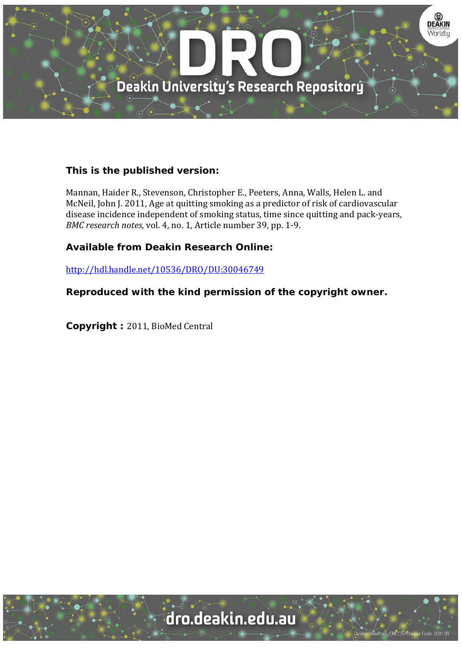

# **This is the published version:**

Mannan, Haider R., Stevenson, Christopher E., Peeters, Anna, Walls, Helen L. and McNeil, John J. 2011, Age at quitting smoking as a predictor of risk of cardiovascular disease incidence independent of smoking status, time since quitting and pack-years, *BMC* research notes, vol. 4, no. 1, Article number 39, pp. 1-9.

# **Available from Deakin Research Online:**

http://hdl.handle.net/10536/DRO/DU:30046749

# **Reproduced with the kind permission of the copyright owner.**

**Copyright : 2011, BioMed Central** 

University CRICOS Provider Code: 00113B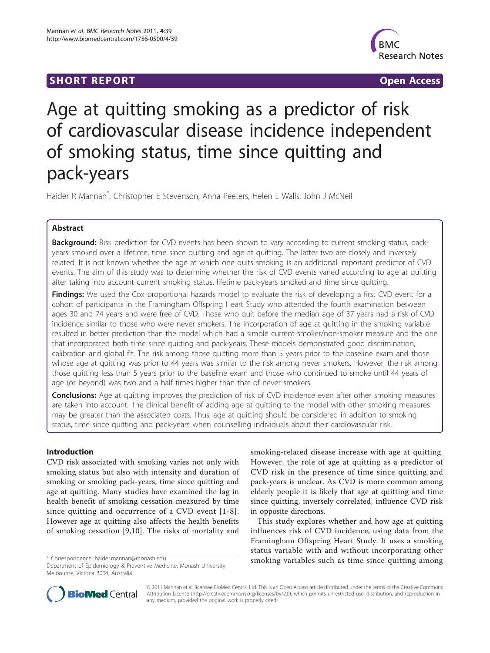# **SHORT REPORT CONSUMING THE OPEN ACCESS**



# Age at quitting smoking as a predictor of risk of cardiovascular disease incidence independent of smoking status, time since quitting and pack-years

Haider R Mannan\* , Christopher E Stevenson, Anna Peeters, Helen L Walls, John J McNeil

# Abstract

Background: Risk prediction for CVD events has been shown to vary according to current smoking status, packyears smoked over a lifetime, time since quitting and age at quitting. The latter two are closely and inversely related. It is not known whether the age at which one quits smoking is an additional important predictor of CVD events. The aim of this study was to determine whether the risk of CVD events varied according to age at quitting after taking into account current smoking status, lifetime pack-years smoked and time since quitting.

Findings: We used the Cox proportional hazards model to evaluate the risk of developing a first CVD event for a cohort of participants in the Framingham Offspring Heart Study who attended the fourth examination between ages 30 and 74 years and were free of CVD. Those who quit before the median age of 37 years had a risk of CVD incidence similar to those who were never smokers. The incorporation of age at quitting in the smoking variable resulted in better prediction than the model which had a simple current smoker/non-smoker measure and the one that incorporated both time since quitting and pack-years. These models demonstrated good discrimination, calibration and global fit. The risk among those quitting more than 5 years prior to the baseline exam and those whose age at quitting was prior to 44 years was similar to the risk among never smokers. However, the risk among those quitting less than 5 years prior to the baseline exam and those who continued to smoke until 44 years of age (or beyond) was two and a half times higher than that of never smokers.

**Conclusions:** Age at quitting improves the prediction of risk of CVD incidence even after other smoking measures are taken into account. The clinical benefit of adding age at quitting to the model with other smoking measures may be greater than the associated costs. Thus, age at quitting should be considered in addition to smoking status, time since quitting and pack-years when counselling individuals about their cardiovascular risk.

## Introduction

CVD risk associated with smoking varies not only with smoking status but also with intensity and duration of smoking or smoking pack-years, time since quitting and age at quitting. Many studies have examined the lag in health benefit of smoking cessation measured by time since quitting and occurrence of a CVD event [[1-8\]](#page-8-0). However age at quitting also affects the health benefits of smoking cessation [\[9](#page-8-0),[10\]](#page-8-0). The risks of mortality and

smoking-related disease increase with age at quitting. However, the role of age at quitting as a predictor of CVD risk in the presence of time since quitting and pack-years is unclear. As CVD is more common among elderly people it is likely that age at quitting and time since quitting, inversely correlated, influence CVD risk in opposite directions.

This study explores whether and how age at quitting influences risk of CVD incidence, using data from the Framingham Offspring Heart Study. It uses a smoking status variable with and without incorporating other \* Correspondence: [haider.mannan@monash.edu](mailto:haider.mannan@monash.edu)<br> **smoking variables such as time since quitting among** 



© 2011 Mannan et al; licensee BioMed Central Ltd. This is an Open Access article distributed under the terms of the Creative Commons Attribution License [\(http://creativecommons.org/licenses/by/2.0](http://creativecommons.org/licenses/by/2.0)), which permits unrestricted use, distribution, and reproduction in any medium, provided the original work is properly cited.

Department of Epidemiology & Preventive Medicine, Monash University, Melbourne, Victoria 3004, Australia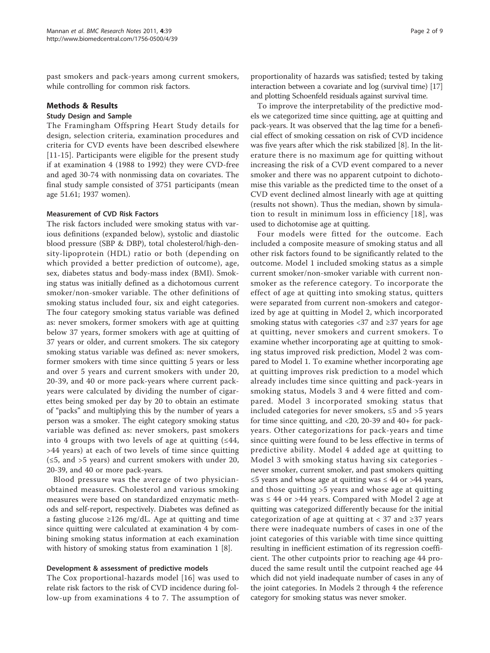past smokers and pack-years among current smokers, while controlling for common risk factors.

### Methods & Results

## Study Design and Sample

The Framingham Offspring Heart Study details for design, selection criteria, examination procedures and criteria for CVD events have been described elsewhere [[11](#page-8-0)-[15\]](#page-8-0). Participants were eligible for the present study if at examination 4 (1988 to 1992) they were CVD-free and aged 30-74 with nonmissing data on covariates. The final study sample consisted of 3751 participants (mean age 51.61; 1937 women).

#### Measurement of CVD Risk Factors

The risk factors included were smoking status with various definitions (expanded below), systolic and diastolic blood pressure (SBP & DBP), total cholesterol/high-density-lipoprotein (HDL) ratio or both (depending on which provided a better prediction of outcome), age, sex, diabetes status and body-mass index (BMI). Smoking status was initially defined as a dichotomous current smoker/non-smoker variable. The other definitions of smoking status included four, six and eight categories. The four category smoking status variable was defined as: never smokers, former smokers with age at quitting below 37 years, former smokers with age at quitting of 37 years or older, and current smokers. The six category smoking status variable was defined as: never smokers, former smokers with time since quitting 5 years or less and over 5 years and current smokers with under 20, 20-39, and 40 or more pack-years where current packyears were calculated by dividing the number of cigarettes being smoked per day by 20 to obtain an estimate of "packs" and multiplying this by the number of years a person was a smoker. The eight category smoking status variable was defined as: never smokers, past smokers into 4 groups with two levels of age at quitting  $(≤44, )$ >44 years) at each of two levels of time since quitting (≤5, and >5 years) and current smokers with under 20, 20-39, and 40 or more pack-years.

Blood pressure was the average of two physicianobtained measures. Cholesterol and various smoking measures were based on standardized enzymatic methods and self-report, respectively. Diabetes was defined as a fasting glucose ≥126 mg/dL. Age at quitting and time since quitting were calculated at examination 4 by combining smoking status information at each examination with history of smoking status from examination 1 [\[8](#page-8-0)].

### Development & assessment of predictive models

The Cox proportional-hazards model [[16\]](#page-8-0) was used to relate risk factors to the risk of CVD incidence during follow-up from examinations 4 to 7. The assumption of

proportionality of hazards was satisfied; tested by taking interaction between a covariate and log (survival time) [[17](#page-8-0)] and plotting Schoenfeld residuals against survival time.

To improve the interpretability of the predictive models we categorized time since quitting, age at quitting and pack-years. It was observed that the lag time for a beneficial effect of smoking cessation on risk of CVD incidence was five years after which the risk stabilized [\[8](#page-8-0)]. In the literature there is no maximum age for quitting without increasing the risk of a CVD event compared to a never smoker and there was no apparent cutpoint to dichotomise this variable as the predicted time to the onset of a CVD event declined almost linearly with age at quitting (results not shown). Thus the median, shown by simulation to result in minimum loss in efficiency [[18\]](#page-8-0), was used to dichotomise age at quitting.

Four models were fitted for the outcome. Each included a composite measure of smoking status and all other risk factors found to be significantly related to the outcome. Model 1 included smoking status as a simple current smoker/non-smoker variable with current nonsmoker as the reference category. To incorporate the effect of age at quitting into smoking status, quitters were separated from current non-smokers and categorized by age at quitting in Model 2, which incorporated smoking status with categories <37 and ≥37 years for age at quitting, never smokers and current smokers. To examine whether incorporating age at quitting to smoking status improved risk prediction, Model 2 was compared to Model 1. To examine whether incorporating age at quitting improves risk prediction to a model which already includes time since quitting and pack-years in smoking status, Models 3 and 4 were fitted and compared. Model 3 incorporated smoking status that included categories for never smokers, ≤5 and >5 years for time since quitting, and <20, 20-39 and 40+ for packyears. Other categorizations for pack-years and time since quitting were found to be less effective in terms of predictive ability. Model 4 added age at quitting to Model 3 with smoking status having six categories never smoker, current smoker, and past smokers quitting ≤5 years and whose age at quitting was ≤ 44 or >44 years, and those quitting >5 years and whose age at quitting was  $\leq 44$  or >44 years. Compared with Model 2 age at quitting was categorized differently because for the initial categorization of age at quitting at  $<$  37 and  $\geq$ 37 years there were inadequate numbers of cases in one of the joint categories of this variable with time since quitting resulting in inefficient estimation of its regression coefficient. The other cutpoints prior to reaching age 44 produced the same result until the cutpoint reached age 44 which did not yield inadequate number of cases in any of the joint categories. In Models 2 through 4 the reference category for smoking status was never smoker.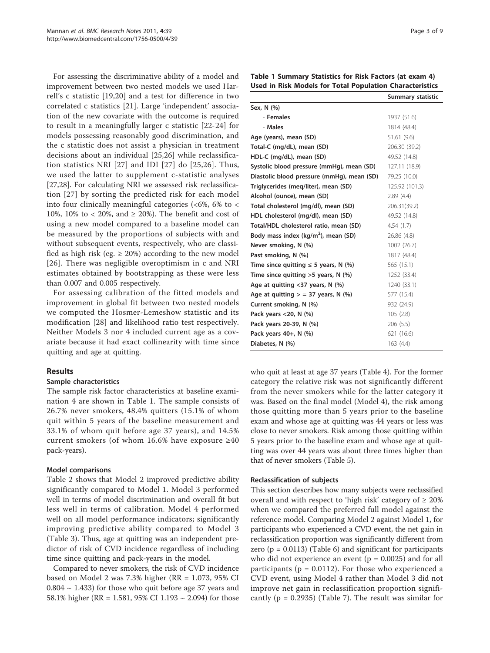For assessing the discriminative ability of a model and improvement between two nested models we used Harrell's c statistic [\[19,20](#page-8-0)] and a test for difference in two correlated c statistics [[21\]](#page-8-0). Large 'independent' association of the new covariate with the outcome is required to result in a meaningfully larger c statistic [[22](#page-8-0)-[24\]](#page-9-0) for models possessing reasonably good discrimination, and the c statistic does not assist a physician in treatment decisions about an individual [[25,26](#page-9-0)] while reclassification statistics NRI [[27](#page-9-0)] and IDI [[27\]](#page-9-0) do [\[25,26](#page-9-0)]. Thus, we used the latter to supplement c-statistic analyses [[27,28\]](#page-9-0). For calculating NRI we assessed risk reclassification [[27](#page-9-0)] by sorting the predicted risk for each model into four clinically meaningful categories ( $<6\%$ , 6% to  $<$ 10%, 10% to < 20%, and  $\geq$  20%). The benefit and cost of using a new model compared to a baseline model can be measured by the proportions of subjects with and without subsequent events, respectively, who are classified as high risk (eg.  $\geq$  20%) according to the new model [[26](#page-9-0)]. There was negligible overoptimism in c and NRI estimates obtained by bootstrapping as these were less than 0.007 and 0.005 respectively.

For assessing calibration of the fitted models and improvement in global fit between two nested models we computed the Hosmer-Lemeshow statistic and its modification [[28\]](#page-9-0) and likelihood ratio test respectively. Neither Models 3 nor 4 included current age as a covariate because it had exact collinearity with time since quitting and age at quitting.

#### Results

#### Sample characteristics

The sample risk factor characteristics at baseline examination 4 are shown in Table 1. The sample consists of 26.7% never smokers, 48.4% quitters (15.1% of whom quit within 5 years of the baseline measurement and 33.1% of whom quit before age 37 years), and 14.5% current smokers (of whom 16.6% have exposure ≥40 pack-years).

#### Model comparisons

Table [2](#page-4-0) shows that Model 2 improved predictive ability significantly compared to Model 1. Model 3 performed well in terms of model discrimination and overall fit but less well in terms of calibration. Model 4 performed well on all model performance indicators; significantly improving predictive ability compared to Model 3 (Table [3\)](#page-4-0). Thus, age at quitting was an independent predictor of risk of CVD incidence regardless of including time since quitting and pack-years in the model.

Compared to never smokers, the risk of CVD incidence based on Model 2 was  $7.3\%$  higher (RR = 1.073, 95% CI  $0.804\sim1.433)$  for those who quit before age 37 years and 58.1% higher (RR = 1.581, 95% CI 1.193  $\sim$  2.094) for those

|  |  | Table 1 Summary Statistics for Risk Factors (at exam 4)         |
|--|--|-----------------------------------------------------------------|
|  |  | <b>Used in Risk Models for Total Population Characteristics</b> |

|                                                | <b>Summary statistic</b> |
|------------------------------------------------|--------------------------|
| Sex, N (%)                                     |                          |
| - Females                                      | 1937 (51.6)              |
| - Males                                        | 1814 (48.4)              |
| Age (years), mean (SD)                         | 51.61 (9.6)              |
| Total-C (mg/dL), mean (SD)                     | 206.30 (39.2)            |
| HDL-C (mg/dL), mean (SD)                       | 49.52 (14.8)             |
| Systolic blood pressure (mmHg), mean (SD)      | 127.11 (18.9)            |
| Diastolic blood pressure (mmHg), mean (SD)     | 79.25 (10.0)             |
| Triglycerides (meg/liter), mean (SD)           | 125.92 (101.3)           |
| Alcohol (ounce), mean (SD)                     | 2.89(4.4)                |
| Total cholesterol (mg/dl), mean (SD)           | 206.31(39.2)             |
| HDL cholesterol (mg/dl), mean (SD)             | 49.52 (14.8)             |
| Total/HDL cholesterol ratio, mean (SD)         | 4.54(1.7)                |
| Body mass index ( $\text{kg/m}^2$ ), mean (SD) | 26.86 (4.8)              |
| Never smoking, N (%)                           | 1002 (26.7)              |
| Past smoking, N (%)                            | 1817 (48.4)              |
| Time since quitting $\leq$ 5 years, N (%)      | 565 (15.1)               |
| Time since quitting $>5$ years, N $(\%)$       | 1252 (33.4)              |
| Age at quitting $<$ 37 years, N $(\%)$         | 1240 (33.1)              |
| Age at quitting $>$ = 37 years, N $(\%)$       | 577 (15.4)               |
| Current smoking, N (%)                         | 932 (24.9)               |
| Pack years $<$ 20, N $(\%)$                    | 105(2.8)                 |
| Pack years 20-39, N (%)                        | 206(5.5)                 |
| Pack years 40+, N (%)                          | 621 (16.6)               |
| Diabetes, N (%)                                | 163 (4.4)                |

who quit at least at age 37 years (Table [4\)](#page-4-0). For the former category the relative risk was not significantly different from the never smokers while for the latter category it was. Based on the final model (Model 4), the risk among those quitting more than 5 years prior to the baseline exam and whose age at quitting was 44 years or less was close to never smokers. Risk among those quitting within 5 years prior to the baseline exam and whose age at quitting was over 44 years was about three times higher than that of never smokers (Table [5\)](#page-5-0).

#### Reclassification of subjects

This section describes how many subjects were reclassified overall and with respect to 'high risk' category of  $\geq 20\%$ when we compared the preferred full model against the reference model. Comparing Model 2 against Model 1, for participants who experienced a CVD event, the net gain in reclassification proportion was significantly different from zero ( $p = 0.0113$ ) (Table [6\)](#page-5-0) and significant for participants who did not experience an event ( $p = 0.0025$ ) and for all participants ( $p = 0.0112$ ). For those who experienced a CVD event, using Model 4 rather than Model 3 did not improve net gain in reclassification proportion significantly ( $p = 0.2935$ ) (Table [7\)](#page-6-0). The result was similar for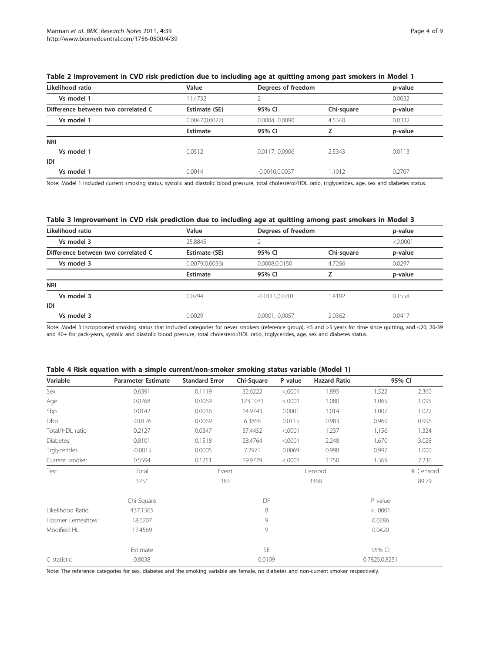| Likelihood ratio                    | Value           |                  | Degrees of freedom |         |  |  |
|-------------------------------------|-----------------|------------------|--------------------|---------|--|--|
| Vs model 1                          | 11.4732         |                  |                    | 0.0032  |  |  |
| Difference between two correlated C | Estimate (SE)   | 95% CI           | Chi-square         | p-value |  |  |
| Vs model 1                          | 0.0047(0.0022)  | 0.0004, 0.0090   | 4.5340             | 0.0332  |  |  |
|                                     | <b>Estimate</b> | 95% CI           | 7                  | p-value |  |  |
| <b>NRI</b>                          |                 |                  |                    |         |  |  |
| Vs model 1                          | 0.0512          | 0.0117, 0.0906   | 2.5343             | 0.0113  |  |  |
| IDI                                 |                 |                  |                    |         |  |  |
| Vs model 1                          | 0.0014          | $-0.0010,0.0037$ | 1.1012             | 0.2707  |  |  |

# <span id="page-4-0"></span>Table 2 Improvement in CVD risk prediction due to including age at quitting among past smokers in Model 1

Note: Model 1 included current smoking status, systolic and diastolic blood pressure, total cholesterol/HDL ratio, triglycerides, age, sex and diabetes status.

#### Table 3 Improvement in CVD risk prediction due to including age at quitting among past smokers in Model 3

| Likelihood ratio                    | Value           | Degrees of freedom |            | p-value  |
|-------------------------------------|-----------------|--------------------|------------|----------|
| Vs model 3                          | 25.8845         |                    |            | < 0.0001 |
| Difference between two correlated C | Estimate (SE)   | 95% CI             | Chi-square | p-value  |
| Vs model 3                          | 0.0079(0.0036)  | 0.0008,0.0150      | 4.7266     | 0.0297   |
|                                     | <b>Estimate</b> | 95% CI             | 7          | p-value  |
| <b>NRI</b>                          |                 |                    |            |          |
| Vs model 3                          | 0.0294          | $-0.0111, 0.0701$  | 1.4192     | 0.1558   |
| IDI                                 |                 |                    |            |          |
| Vs model 3                          | 0.0029          | 0.0001, 0.0057     | 2.0362     | 0.0417   |

Note: Model 3 incorporated smoking status that included categories for never smokers (reference group), ≤5 and >5 years for time since quitting, and <20, 20-39 and 40+ for pack-years, systolic and diastolic blood pressure, total cholesterol/HDL ratio, triglycerides, age, sex and diabetes status.

#### Table 4 Risk equation with a simple current/non-smoker smoking status variable (Model 1)

| Variable         | <b>Parameter Estimate</b> | <b>Standard Error</b> | Chi-Square | P value | <b>Hazard Ratio</b> | 95% CI        |           |
|------------------|---------------------------|-----------------------|------------|---------|---------------------|---------------|-----------|
| Sex              | 0.6391                    | 0.1119                | 32.6222    | < .0001 | 1.895               | 1.522         | 2.360     |
| Age              | 0.0768                    | 0.0069                | 123.1031   | < .0001 | 1.080               | 1.065         | 1.095     |
| Sbp              | 0.0142                    | 0.0036                | 14.9743    | 0.0001  | 1.014               | 1.007         | 1.022     |
| Dbp              | $-0.0176$                 | 0.0069                | 6.3866     | 0.0115  | 0.983               | 0.969         | 0.996     |
| Total/HDL ratio  | 0.2127                    | 0.0347                | 37.4452    | < .0001 | 1.237               | 1.156         | 1.324     |
| <b>Diabetes</b>  | 0.8101                    | 0.1518                | 28.4764    | < .0001 | 2.248               | 1.670         | 3.028     |
| Trglycerides     | $-0.0015$                 | 0.0005                | 7.2971     | 0.0069  | 0.998               | 0.997         | 1.000     |
| Current smoker   | 0.5594                    | 0.1251                | 19.9779    | < .0001 | 1.750               | 1.369         | 2.236     |
| Test             | Total                     | Event                 |            |         | Censord             |               | % Censord |
|                  | 3751                      | 383                   |            |         | 3368                |               | 89.79     |
|                  | Chi-Square                |                       | DF         |         |                     | P value       |           |
| Likelihood Ratio | 437.1565                  |                       | 8          |         |                     | <.0001        |           |
| Hosmer Lemeshow  | 18.6207                   |                       | 9          |         |                     | 0.0286        |           |
| Modified HL      | 17.4569                   |                       | 9          |         |                     | 0.0420        |           |
|                  | Estimate                  |                       | <b>SE</b>  |         |                     | 95% CI        |           |
| C statistic      | 0.8038                    |                       | 0.0109     |         |                     | 0.7825,0.8251 |           |

Note: The reference categories for sex, diabetes and the smoking variable are female, no diabetes and non-current smoker respectively.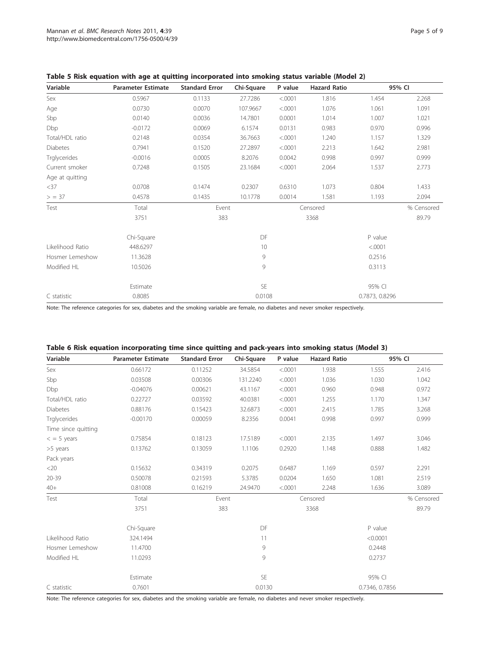| Variable         | <b>Parameter Estimate</b> | <b>Standard Error</b> | Chi-Square | P value | <b>Hazard Ratio</b> | 95% CI         |            |
|------------------|---------------------------|-----------------------|------------|---------|---------------------|----------------|------------|
| Sex              | 0.5967                    | 0.1133                | 27.7286    | < .0001 | 1.816               | 1.454          | 2.268      |
| Age              | 0.0730                    | 0.0070                | 107.9667   | < .0001 | 1.076               | 1.061          | 1.091      |
| Sbp              | 0.0140                    | 0.0036                | 14.7801    | 0.0001  | 1.014               | 1.007          | 1.021      |
| Dbp              | $-0.0172$                 | 0.0069                | 6.1574     | 0.0131  | 0.983               | 0.970          | 0.996      |
| Total/HDL ratio  | 0.2148                    | 0.0354                | 36.7663    | < .0001 | 1.240               | 1.157          | 1.329      |
| <b>Diabetes</b>  | 0.7941                    | 0.1520                | 27.2897    | < .0001 | 2.213               | 1.642          | 2.981      |
| Trglycerides     | $-0.0016$                 | 0.0005                | 8.2076     | 0.0042  | 0.998               | 0.997          | 0.999      |
| Current smoker   | 0.7248                    | 0.1505                | 23.1684    | < .0001 | 2.064               | 1.537          | 2.773      |
| Age at quitting  |                           |                       |            |         |                     |                |            |
| $<$ 37           | 0.0708                    | 0.1474                | 0.2307     | 0.6310  | 1.073               | 0.804          | 1.433      |
| $>$ = 37         | 0.4578                    | 0.1435                | 10.1778    | 0.0014  | 1.581               | 1.193          | 2.094      |
| Test             | Total                     | Event                 |            |         | Censored            |                | % Censored |
|                  | 3751                      | 383                   |            |         | 3368                |                | 89.79      |
|                  | Chi-Square                |                       | DF         |         |                     | P value        |            |
| Likelihood Ratio | 448.6297                  |                       | 10         |         |                     | < .0001        |            |
| Hosmer Lemeshow  | 11.3628                   |                       | 9          |         |                     | 0.2516         |            |
| Modified HL      | 10.5026                   |                       | 9          |         |                     | 0.3113         |            |
|                  | Estimate                  |                       | <b>SE</b>  |         |                     | 95% CI         |            |
| C statistic      | 0.8085                    |                       | 0.0108     |         |                     | 0.7873, 0.8296 |            |

# <span id="page-5-0"></span>Table 5 Risk equation with age at quitting incorporated into smoking status variable (Model 2)

Note: The reference categories for sex, diabetes and the smoking variable are female, no diabetes and never smoker respectively.

|  |  |  | Table 6 Risk equation incorporating time since quitting and pack-years into smoking status (Model 3) |  |
|--|--|--|------------------------------------------------------------------------------------------------------|--|
|  |  |  |                                                                                                      |  |

| Variable            | <b>Parameter Estimate</b> | <b>Standard Error</b> | Chi-Square | P value | <b>Hazard Ratio</b> | 95% CI         |            |
|---------------------|---------------------------|-----------------------|------------|---------|---------------------|----------------|------------|
| Sex                 | 0.66172                   | 0.11252               | 34.5854    | < .0001 | 1.938               | 1.555          | 2.416      |
| Sbp                 | 0.03508                   | 0.00306               | 131.2240   | < .0001 | 1.036               | 1.030          | 1.042      |
| Dbp                 | $-0.04076$                | 0.00621               | 43.1167    | < .0001 | 0.960               | 0.948          | 0.972      |
| Total/HDL ratio     | 0.22727                   | 0.03592               | 40.0381    | < .0001 | 1.255               | 1.170          | 1.347      |
| Diabetes            | 0.88176                   | 0.15423               | 32.6873    | < .0001 | 2.415               | 1.785          | 3.268      |
| Trglycerides        | $-0.00170$                | 0.00059               | 8.2356     | 0.0041  | 0.998               | 0.997          | 0.999      |
| Time since quitting |                           |                       |            |         |                     |                |            |
| $<$ = 5 years       | 0.75854                   | 0.18123               | 17.5189    | < .0001 | 2.135               | 1.497          | 3.046      |
| >5 years            | 0.13762                   | 0.13059               | 1.1106     | 0.2920  | 1.148               | 0.888          | 1.482      |
| Pack years          |                           |                       |            |         |                     |                |            |
| <20                 | 0.15632                   | 0.34319               | 0.2075     | 0.6487  | 1.169               | 0.597          | 2.291      |
| 20-39               | 0.50078                   | 0.21593               | 5.3785     | 0.0204  | 1.650               | 1.081          | 2.519      |
| $40+$               | 0.81008                   | 0.16219               | 24.9470    | < .0001 | 2.248               | 1.636          | 3.089      |
| Test                | Total                     | Event                 |            |         | Censored            |                | % Censored |
|                     | 3751                      | 383                   |            |         | 3368                |                | 89.79      |
|                     | Chi-Square                |                       | DF         |         |                     | P value        |            |
| Likelihood Ratio    | 324.1494                  |                       | 11         |         |                     | < 0.0001       |            |
| Hosmer Lemeshow     | 11.4700                   |                       | 9          |         |                     | 0.2448         |            |
| Modified HL         | 11.0293                   |                       | 9          |         |                     | 0.2737         |            |
|                     | Estimate                  |                       | <b>SE</b>  |         |                     | 95% CI         |            |
| C statistic         | 0.7601                    |                       | 0.0130     |         |                     | 0.7346, 0.7856 |            |

Note: The reference categories for sex, diabetes and the smoking variable are female, no diabetes and never smoker respectively.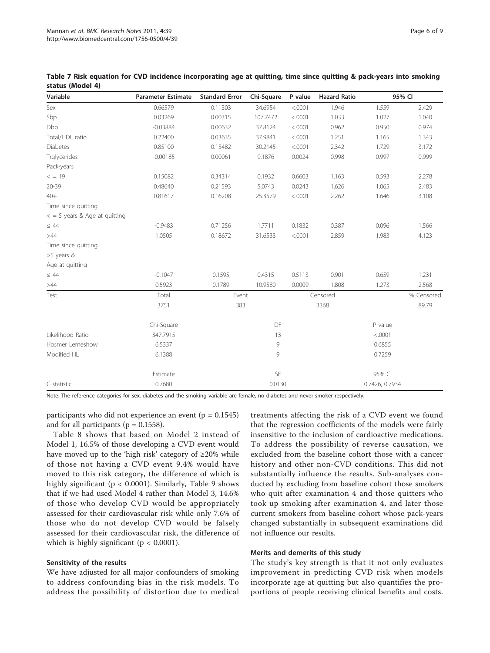| Variable                               | <b>Parameter Estimate</b> | <b>Standard Error</b> | Chi-Square | P value | <b>Hazard Ratio</b> | 95% CI         |            |
|----------------------------------------|---------------------------|-----------------------|------------|---------|---------------------|----------------|------------|
| Sex                                    | 0.66579                   | 0.11303               | 34.6954    | < .0001 | 1.946               | 1.559          | 2.429      |
| Sbp                                    | 0.03269                   | 0.00315               | 107.7472   | < .0001 | 1.033               | 1.027          | 1.040      |
| Dbp                                    | $-0.03884$                | 0.00632               | 37.8124    | < .0001 | 0.962               | 0.950          | 0.974      |
| Total/HDL ratio                        | 0.22400                   | 0.03635               | 37.9841    | < .0001 | 1.251               | 1.165          | 1.343      |
| <b>Diabetes</b>                        | 0.85100                   | 0.15482               | 30.2145    | < .0001 | 2.342               | 1.729          | 3.172      |
| Trglycerides                           | $-0.00185$                | 0.00061               | 9.1876     | 0.0024  | 0.998               | 0.997          | 0.999      |
| Pack-years                             |                           |                       |            |         |                     |                |            |
| $<$ = 19                               | 0.15082                   | 0.34314               | 0.1932     | 0.6603  | 1.163               | 0.593          | 2.278      |
| 20-39                                  | 0.48640                   | 0.21593               | 5.0743     | 0.0243  | 1.626               | 1.065          | 2.483      |
| $40+$                                  | 0.81617                   | 0.16208               | 25.3579    | < .0001 | 2.262               | 1.646          | 3.108      |
| Time since quitting                    |                           |                       |            |         |                     |                |            |
| $\epsilon$ = 5 years & Age at quitting |                           |                       |            |         |                     |                |            |
| $\leq 44$                              | $-0.9483$                 | 0.71256               | 1.7711     | 0.1832  | 0.387               | 0.096          | 1.566      |
| $>44$                                  | 1.0505                    | 0.18672               | 31.6533    | < .0001 | 2.859               | 1.983          | 4.123      |
| Time since quitting                    |                           |                       |            |         |                     |                |            |
| >5 years &                             |                           |                       |            |         |                     |                |            |
| Age at quitting                        |                           |                       |            |         |                     |                |            |
| $\leq 44$                              | $-0.1047$                 | 0.1595                | 0.4315     | 0.5113  | 0.901               | 0.659          | 1.231      |
| $>44$                                  | 0.5923                    | 0.1789                | 10.9580    | 0.0009  | 1.808               | 1.273          | 2.568      |
| Test                                   | Total                     | Event                 |            |         | Censored            |                | % Censored |
|                                        | 3751                      | 383                   |            |         | 3368                |                | 89.79      |
|                                        | Chi-Square                |                       | DF         |         |                     | P value        |            |
| Likelihood Ratio                       | 347.7915                  |                       | 13         |         |                     | < .0001        |            |
| Hosmer Lemeshow                        | 6.5337                    |                       | 9          |         |                     | 0.6855         |            |
| Modified HL                            | 6.1388                    |                       | 9          |         |                     | 0.7259         |            |
|                                        | Estimate                  |                       | SE         |         |                     | 95% CI         |            |
| C statistic                            | 0.7680                    |                       | 0.0130     |         |                     | 0.7426, 0.7934 |            |

<span id="page-6-0"></span>Table 7 Risk equation for CVD incidence incorporating age at quitting, time since quitting & pack-years into smoking status (Model 4)

Note: The reference categories for sex, diabetes and the smoking variable are female, no diabetes and never smoker respectively.

participants who did not experience an event ( $p = 0.1545$ ) and for all participants ( $p = 0.1558$ ).

Table [8](#page-7-0) shows that based on Model 2 instead of Model 1, 16.5% of those developing a CVD event would have moved up to the 'high risk' category of ≥20% while of those not having a CVD event 9.4% would have moved to this risk category, the difference of which is highly significant (p < 0.0001). Similarly, Table [9](#page-7-0) shows that if we had used Model 4 rather than Model 3, 14.6% of those who develop CVD would be appropriately assessed for their cardiovascular risk while only 7.6% of those who do not develop CVD would be falsely assessed for their cardiovascular risk, the difference of which is highly significant ( $p < 0.0001$ ).

#### Sensitivity of the results

We have adjusted for all major confounders of smoking to address confounding bias in the risk models. To address the possibility of distortion due to medical

treatments affecting the risk of a CVD event we found that the regression coefficients of the models were fairly insensitive to the inclusion of cardioactive medications. To address the possibility of reverse causation, we excluded from the baseline cohort those with a cancer history and other non-CVD conditions. This did not substantially influence the results. Sub-analyses conducted by excluding from baseline cohort those smokers who quit after examination 4 and those quitters who took up smoking after examination 4, and later those current smokers from baseline cohort whose pack-years changed substantially in subsequent examinations did not influence our results.

# Merits and demerits of this study

The study's key strength is that it not only evaluates improvement in predicting CVD risk when models incorporate age at quitting but also quantifies the proportions of people receiving clinical benefits and costs.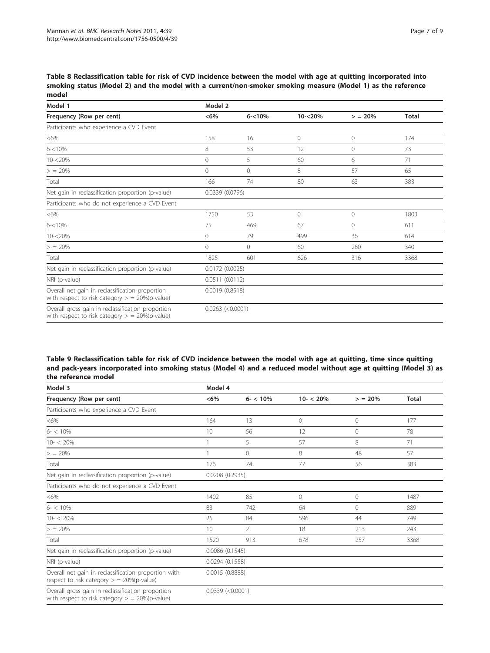<span id="page-7-0"></span>Table 8 Reclassification table for risk of CVD incidence between the model with age at quitting incorporated into smoking status (Model 2) and the model with a current/non-smoker smoking measure (Model 1) as the reference model

| Model 1                                                                                               | Model 2                |           |            |                |              |  |
|-------------------------------------------------------------------------------------------------------|------------------------|-----------|------------|----------------|--------------|--|
| Frequency (Row per cent)                                                                              | $< 6\%$                | $6 - 10%$ | $10 - 20%$ | $> 20\%$       | <b>Total</b> |  |
| Participants who experience a CVD Event                                                               |                        |           |            |                |              |  |
| $<6\%$                                                                                                | 158                    | 16        | 0          | $\mathbf 0$    | 174          |  |
| $6 - 10%$                                                                                             | 8                      | 53        | 12         | $\overline{0}$ | 73           |  |
| $10 - 20%$                                                                                            | $\circ$                | 5         | 60         | 6              | 71           |  |
| $> 20\%$                                                                                              | $\circ$                | 0         | 8          | 57             | 65           |  |
| Total                                                                                                 | 166                    | 74        | 80         | 63             | 383          |  |
| Net gain in reclassification proportion (p-value)                                                     | 0.0339(0.0796)         |           |            |                |              |  |
| Participants who do not experience a CVD Event                                                        |                        |           |            |                |              |  |
| $<6\%$                                                                                                | 1750                   | 53        | $\circ$    | $\mathbf 0$    | 1803         |  |
| $6 - 10%$                                                                                             | 75                     | 469       | 67         | $\mathbf 0$    | 611          |  |
| $10 - 20%$                                                                                            | $\circ$                | 79        | 499        | 36             | 614          |  |
| $> 20\%$                                                                                              | $\Omega$               | 0         | 60         | 280            | 340          |  |
| Total                                                                                                 | 1825                   | 601       | 626        | 316            | 3368         |  |
| Net gain in reclassification proportion (p-value)                                                     | 0.0172(0.0025)         |           |            |                |              |  |
| NRI (p-value)                                                                                         | 0.0511(0.0112)         |           |            |                |              |  |
| Overall net gain in reclassification proportion<br>with respect to risk category $>$ = 20%(p-value)   | 0.0019(0.8518)         |           |            |                |              |  |
| Overall gross gain in reclassification proportion<br>with respect to risk category $>$ = 20%(p-value) | $0.0263$ (< $0.0001$ ) |           |            |                |              |  |

# Table 9 Reclassification table for risk of CVD incidence between the model with age at quitting, time since quitting and pack-years incorporated into smoking status (Model 4) and a reduced model without age at quitting (Model 3) as the reference model

| Model 3                                                                                               | Model 4                |                |            |              |              |  |
|-------------------------------------------------------------------------------------------------------|------------------------|----------------|------------|--------------|--------------|--|
| Frequency (Row per cent)                                                                              | $< 6\%$                | $6 - 10\%$     | $10 - 20%$ | $> 20\%$     | <b>Total</b> |  |
| Participants who experience a CVD Event                                                               |                        |                |            |              |              |  |
| $<6\%$                                                                                                | 164                    | 13             | 0          | $\mathbf{0}$ | 177          |  |
| $6 - 10\%$                                                                                            | 10                     | 56             | 12         | $\mathbf{0}$ | 78           |  |
| $10 - 520%$                                                                                           |                        | 5              | 57         | 8            | 71           |  |
| $> 20\%$                                                                                              |                        | $\circ$        | 8          | 48           | 57           |  |
| Total                                                                                                 | 176                    | 74             | 77         | 56           | 383          |  |
| Net gain in reclassification proportion (p-value)                                                     | 0.0208(0.2935)         |                |            |              |              |  |
| Participants who do not experience a CVD Event                                                        |                        |                |            |              |              |  |
| $<6\%$                                                                                                | 1402                   | 85             | 0          | $\mathbf{0}$ | 1487         |  |
| $6 - 10\%$                                                                                            | 83                     | 742            | 64         | $\mathbf{0}$ | 889          |  |
| $10 - 20\%$                                                                                           | 25                     | 84             | 596        | 44           | 749          |  |
| $> 20\%$                                                                                              | 10 <sup>°</sup>        | $\overline{2}$ | 18         | 213          | 243          |  |
| Total                                                                                                 | 1520                   | 913            | 678        | 257          | 3368         |  |
| Net gain in reclassification proportion (p-value)                                                     | 0.0086(0.1545)         |                |            |              |              |  |
| NRI (p-value)                                                                                         | 0.0294(0.1558)         |                |            |              |              |  |
| Overall net gain in reclassification proportion with<br>respect to risk category $>$ = 20%(p-value)   | 0.0015(0.8888)         |                |            |              |              |  |
| Overall gross gain in reclassification proportion<br>with respect to risk category $>$ = 20%(p-value) | $0.0339$ (< $0.0001$ ) |                |            |              |              |  |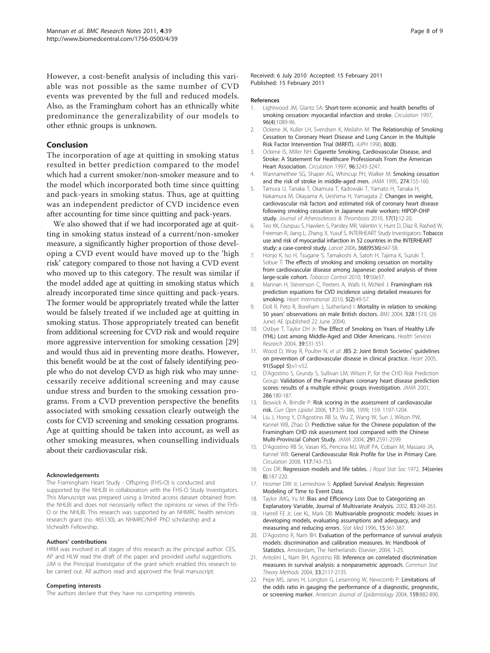<span id="page-8-0"></span>However, a cost-benefit analysis of including this variable was not possible as the same number of CVD events was prevented by the full and reduced models. Also, as the Framingham cohort has an ethnically white predominance the generalizability of our models to other ethnic groups is unknown.

## Conclusion

The incorporation of age at quitting in smoking status resulted in better prediction compared to the model which had a current smoker/non-smoker measure and to the model which incorporated both time since quitting and pack-years in smoking status. Thus, age at quitting was an independent predictor of CVD incidence even after accounting for time since quitting and pack-years.

We also showed that if we had incorporated age at quitting in smoking status instead of a current/non-smoker measure, a significantly higher proportion of those developing a CVD event would have moved up to the 'high risk' category compared to those not having a CVD event who moved up to this category. The result was similar if the model added age at quitting in smoking status which already incorporated time since quitting and pack-years. The former would be appropriately treated while the latter would be falsely treated if we included age at quitting in smoking status. Those appropriately treated can benefit from additional screening for CVD risk and would require more aggressive intervention for smoking cessation [\[29](#page-9-0)] and would thus aid in preventing more deaths. However, this benefit would be at the cost of falsely identifying people who do not develop CVD as high risk who may unnecessarily receive additional screening and may cause undue stress and burden to the smoking cessation programs. From a CVD prevention perspective the benefits associated with smoking cessation clearly outweigh the costs for CVD screening and smoking cessation programs. Age at quitting should be taken into account, as well as other smoking measures, when counselling individuals about their cardiovascular risk.

#### Acknowledgements

The Framingham Heart Study - Offspring (FHS-O) is conducted and supported by the NHLBI in collaboration with the FHS-O Study Investigators. This Manuscript was prepared using a limited access dataset obtained from the NHLBI and does not necessarily reflect the opinions or views of the FHS-O or the NHLBI. This research was supported by an NHMRC health services research grant (no. 465130), an NHMRC/NHF PhD scholarship and a Vichealth Fellowship.

#### Authors' contributions

HRM was involved in all stages of this research as the principal author. CES, AP and HLW read the draft of the paper and provided useful suggestions. JJM is the Principal Investigator of the grant which enabled this research to be carried out. All authors read and approved the final manuscript.

#### Competing interests

The authors declare that they have no competing interests.

Received: 6 July 2010 Accepted: 15 February 2011 Published: 15 February 2011

#### References

- 1. Lightwood JM, Glantz SA: [Short-term economic and health benefits of](http://www.ncbi.nlm.nih.gov/pubmed/9286934?dopt=Abstract) [smoking cessation: myocardial infarction and stroke.](http://www.ncbi.nlm.nih.gov/pubmed/9286934?dopt=Abstract) Circulation 1997, 96(4):1089-96.
- 2. Ockene JK, Kuller LH, Svendsen K, Meilahn M: The Relationship of Smoking Cessation to Coronary Heart Disease and Lung Cancer in the Multiple Risk Factor Intervention Trial (MRFIT). AJPH 1990, 80(8).
- 3. Ockene IS, Miller NH: [Cigarette Smoking, Cardiovascular Disease, and](http://www.ncbi.nlm.nih.gov/pubmed/9386200?dopt=Abstract) [Stroke: A Statement for Healthcare Professionals From the American](http://www.ncbi.nlm.nih.gov/pubmed/9386200?dopt=Abstract) [Heart Association.](http://www.ncbi.nlm.nih.gov/pubmed/9386200?dopt=Abstract) Circulation 1997, 96:3243-3247.
- 4. Wannamethee SG, Shaper AG, Whincup PH, Walker M: [Smoking cessation](http://www.ncbi.nlm.nih.gov/pubmed/7596004?dopt=Abstract) [and the risk of stroke in middle-aged men.](http://www.ncbi.nlm.nih.gov/pubmed/7596004?dopt=Abstract) JAMA 1995, 274:155-160.
- 5. Tamura U, Tanaka T, Okamura T, Kadowaki T, Yamato H, Tanaka H, Nakamura M, Okayama A, Ueshima H, Yamagata Z: Changes in weight, cardiovascular risk factors and estimated risk of coronary heart disease following smoking cessation in Japanese male workers: HIPOP-OHP study. Journal of Atherosclerosis & Thrombosis 2010, 17(1):12-20.
- 6. Teo KK, Ounpuu S, Hawken S, Pandey MR, Valentin V, Hunt D, Diaz R, Rashed W, Freeman R, Jiang L, Zhang X, Yusuf S, INTERHEART Study Investigators: [Tobacco](http://www.ncbi.nlm.nih.gov/pubmed/16920470?dopt=Abstract) [use and risk of myocardial infarction in 52 countries in the INTERHEART](http://www.ncbi.nlm.nih.gov/pubmed/16920470?dopt=Abstract) [study: a case-control study.](http://www.ncbi.nlm.nih.gov/pubmed/16920470?dopt=Abstract) Lancet 2006, 368(9536):647-58.
- 7. Honjo K, Iso H, Tsugane S, Tamakoshi A, Satoh H, Tajima K, Suzuki T, Sobue T: The effects of smoking and smoking cessation on mortality from cardiovascular disease among Japanese: pooled analysis of three large-scale cohort. Tobacco Control 2010, 19:50e57.
- 8. Mannan H, Stevenson C, Peeters A, Walls H, McNeil J: Framingham risk prediction equations for CVD incidence using detailed measures for smoking. Heart International 2010, 5(2):49-57.
- 9. Doll R, Peto R, Boreham J, Sutherland I: [Mortality in relation to smoking:](http://www.ncbi.nlm.nih.gov/pubmed/15213107?dopt=Abstract) 50 years' [observations on male British doctors.](http://www.ncbi.nlm.nih.gov/pubmed/15213107?dopt=Abstract) BMJ 2004, 328:1519, (26 June) AE (published 22 June 2004).
- 10. Ostbye T, Taylor DH Jr: [The Effect of Smoking on Years of Healthy Life](http://www.ncbi.nlm.nih.gov/pubmed/15149477?dopt=Abstract) [\(YHL\) Lost among Middle-Aged and Older Americans.](http://www.ncbi.nlm.nih.gov/pubmed/15149477?dopt=Abstract) Health Services Research 2004, 39:531-551.
- 11. Wood D, Wray R, Poulter N, et al: [JBS 2: Joint British Societies](http://www.ncbi.nlm.nih.gov/pubmed/16365341?dopt=Abstract)' guidelines [on prevention of cardiovascular disease in clinical practice.](http://www.ncbi.nlm.nih.gov/pubmed/16365341?dopt=Abstract) Heart 2005, 91(Suppl 5):  $v1 - v52$ .
- 12. D'Agostino S, Grundy S, Sullivan LM, Wilson P, for the CHD Risk Prediction Group: [Validation of the Framingham coronary heart disease prediction](http://www.ncbi.nlm.nih.gov/pubmed/11448281?dopt=Abstract) [scores: results of a multiple ethnic groups investigation.](http://www.ncbi.nlm.nih.gov/pubmed/11448281?dopt=Abstract) JAMA 2001, 286:180-187.
- 13. Beswick A, Brindle P: Risk [scoring in the assessment of cardiovascular](http://www.ncbi.nlm.nih.gov/pubmed/16832160?dopt=Abstract) [risk.](http://www.ncbi.nlm.nih.gov/pubmed/16832160?dopt=Abstract) Curr Opin Lipidol 2006, 17:375-386, 1999; 159: 1197-1204.
- 14. Liu J, Hong Y, D'Agostino RB Sr, Wu Z, Wang W, Sun J, Wilson PW, Kannel WB, Zhao D: [Predictive value for the Chinese population of the](http://www.ncbi.nlm.nih.gov/pubmed/15173150?dopt=Abstract) [Framingham CHD risk assessment tool compared with the Chinese](http://www.ncbi.nlm.nih.gov/pubmed/15173150?dopt=Abstract) [Multi-Provincial Cohort Study.](http://www.ncbi.nlm.nih.gov/pubmed/15173150?dopt=Abstract) JAMA 2004, 291:2591-2599.
- 15. D'Agostino RB Sr, Vasan RS, Pencina MJ, Wolf PA, Cobain M, Massaro JA, Kannel WB: [General Cardiovascular Risk Profile for Use in Primary Care.](http://www.ncbi.nlm.nih.gov/pubmed/18212285?dopt=Abstract) Circulation 2008, 117:743-753.
- 16. Cox DR: Regression models and life tables. J Royal Stat Soc 1972, 34(series B):187-220.
- 17. Hosmer DW Jr, Lemeshow S: Applied Survival Analysis: Regression Modeling of Time to Event Data.
- 18. Taylor JMG, Yu M: Bias and Efficiency Loss Due to Categorizing an Explanatory Variable, Journal of Multivariate Analysis. 2002, 83:248-263.
- 19. Harrell FE Jr, Lee KL, Mark DB: [Multivariable prognostic models: issues in](http://www.ncbi.nlm.nih.gov/pubmed/8668867?dopt=Abstract) [developing models, evaluating assumptions and adequacy, and](http://www.ncbi.nlm.nih.gov/pubmed/8668867?dopt=Abstract) [measuring and reducing errors.](http://www.ncbi.nlm.nih.gov/pubmed/8668867?dopt=Abstract) Stat Med 1996, 15:361-387.
- 20. D'Agostino R, Nam BH: Evaluation of the performance of survival analysis models: discrimination and calibration measures. In: Handbook of Statistics. Amsterdam, The Netherlands: Elsevier; 2004, 1-25.
- 21. Antolini L, Nam BH, Agostino RB: Inference on correlated discrimination measures in survival analysis: a nonparametric approach. Commun Stat Theory Methods 2004, 33:2117-2135.
- 22. Pepe MS, Janes H, Longton G, Leisenring W, Newcomb P: [Limitations of](http://www.ncbi.nlm.nih.gov/pubmed/15105181?dopt=Abstract) [the odds ratio in gauging the performance of a diagnostic, prognostic,](http://www.ncbi.nlm.nih.gov/pubmed/15105181?dopt=Abstract) [or screening marker.](http://www.ncbi.nlm.nih.gov/pubmed/15105181?dopt=Abstract) American Journal of Epidemiology 2004, 159:882-890.